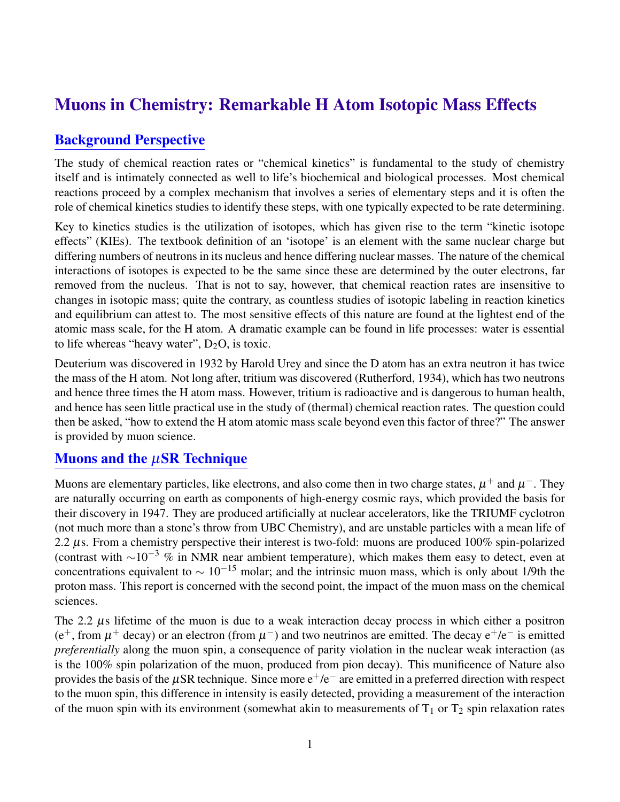# Muons in Chemistry: Remarkable H Atom Isotopic Mass Effects

#### Background Perspective

The study of chemical reaction rates or "chemical kinetics" is fundamental to the study of chemistry itself and is intimately connected as well to life's biochemical and biological processes. Most chemical reactions proceed by a complex mechanism that involves a series of elementary steps and it is often the role of chemical kinetics studies to identify these steps, with one typically expected to be rate determining.

Key to kinetics studies is the utilization of isotopes, which has given rise to the term "kinetic isotope effects" (KIEs). The textbook definition of an 'isotope' is an element with the same nuclear charge but differing numbers of neutrons in its nucleus and hence differing nuclear masses. The nature of the chemical interactions of isotopes is expected to be the same since these are determined by the outer electrons, far removed from the nucleus. That is not to say, however, that chemical reaction rates are insensitive to changes in isotopic mass; quite the contrary, as countless studies of isotopic labeling in reaction kinetics and equilibrium can attest to. The most sensitive effects of this nature are found at the lightest end of the atomic mass scale, for the H atom. A dramatic example can be found in life processes: water is essential to life whereas "heavy water",  $D_2O$ , is toxic.

Deuterium was discovered in 1932 by Harold Urey and since the D atom has an extra neutron it has twice the mass of the H atom. Not long after, tritium was discovered (Rutherford, 1934), which has two neutrons and hence three times the H atom mass. However, tritium is radioactive and is dangerous to human health, and hence has seen little practical use in the study of (thermal) chemical reaction rates. The question could then be asked, "how to extend the H atom atomic mass scale beyond even this factor of three?" The answer is provided by muon science.

### Muons and the  $\mu$ SR Technique

Muons are elementary particles, like electrons, and also come then in two charge states,  $\mu^+$  and  $\mu^-$ . They are naturally occurring on earth as components of high-energy cosmic rays, which provided the basis for their discovery in 1947. They are produced artificially at nuclear accelerators, like the TRIUMF cyclotron (not much more than a stone's throw from UBC Chemistry), and are unstable particles with a mean life of 2.2 µs. From a chemistry perspective their interest is two-fold: muons are produced 100% spin-polarized (contrast with  $\sim 10^{-3}$  % in NMR near ambient temperature), which makes them easy to detect, even at concentrations equivalent to  $\sim 10^{-15}$  molar; and the intrinsic muon mass, which is only about 1/9th the proton mass. This report is concerned with the second point, the impact of the muon mass on the chemical sciences.

The 2.2  $\mu$ s lifetime of the muon is due to a weak interaction decay process in which either a positron (e<sup>+</sup>, from  $\mu$ <sup>+</sup> decay) or an electron (from  $\mu$ <sup>-</sup>) and two neutrinos are emitted. The decay e<sup>+</sup>/e<sup>-</sup> is emitted *preferentially* along the muon spin, a consequence of parity violation in the nuclear weak interaction (as is the 100% spin polarization of the muon, produced from pion decay). This munificence of Nature also provides the basis of the  $\mu$ SR technique. Since more  $e^+/e^-$  are emitted in a preferred direction with respect to the muon spin, this difference in intensity is easily detected, providing a measurement of the interaction of the muon spin with its environment (somewhat akin to measurements of  $T_1$  or  $T_2$  spin relaxation rates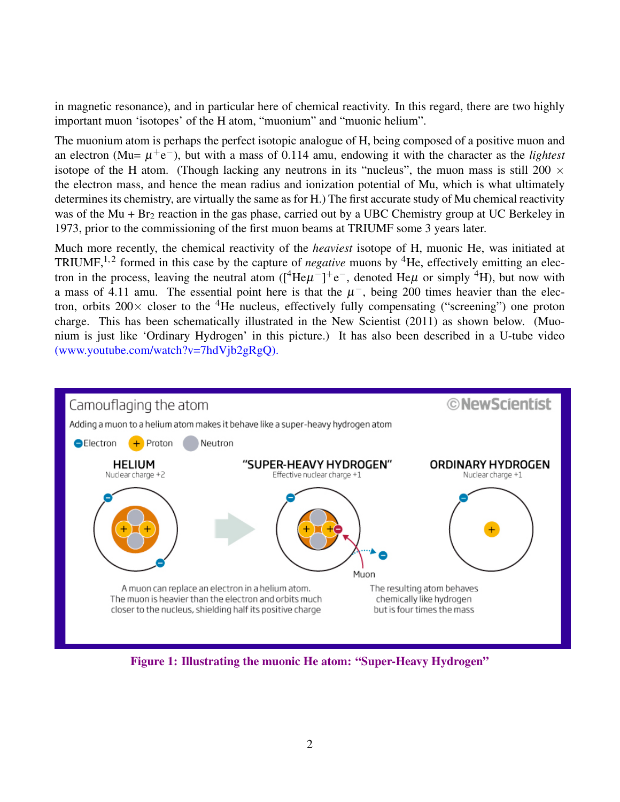in magnetic resonance), and in particular here of chemical reactivity. In this regard, there are two highly important muon 'isotopes' of the H atom, "muonium" and "muonic helium".

The muonium atom is perhaps the perfect isotopic analogue of H, being composed of a positive muon and an electron (Mu=  $\mu$ <sup>+</sup>e<sup>-</sup>), but with a mass of 0.114 amu, endowing it with the character as the *lightest* isotope of the H atom. (Though lacking any neutrons in its "nucleus", the muon mass is still 200  $\times$ the electron mass, and hence the mean radius and ionization potential of Mu, which is what ultimately determines its chemistry, are virtually the same as for H.) The first accurate study of Mu chemical reactivity was of the Mu + Br<sub>2</sub> reaction in the gas phase, carried out by a UBC Chemistry group at UC Berkeley in 1973, prior to the commissioning of the first muon beams at TRIUMF some 3 years later.

Much more recently, the chemical reactivity of the *heaviest* isotope of H, muonic He, was initiated at TRIUMF,<sup>1,2</sup> formed in this case by the capture of *negative* muons by <sup>4</sup>He, effectively emitting an electron in the process, leaving the neutral atom ( $[{}^4He\mu^-]$ +e<sup>-</sup>, denoted He $\mu$  or simply <sup>4</sup>H), but now with a mass of 4.11 amu. The essential point here is that the  $\mu^-$ , being 200 times heavier than the electron, orbits  $200\times$  closer to the <sup>4</sup>He nucleus, effectively fully compensating ("screening") one proton charge. This has been schematically illustrated in the New Scientist (2011) as shown below. (Muonium is just like 'Ordinary Hydrogen' in this picture.) It has also been described in a U-tube video (www.youtube.com/watch?v=7hdVjb2gRgQ).



Figure 1: Illustrating the muonic He atom: "Super-Heavy Hydrogen"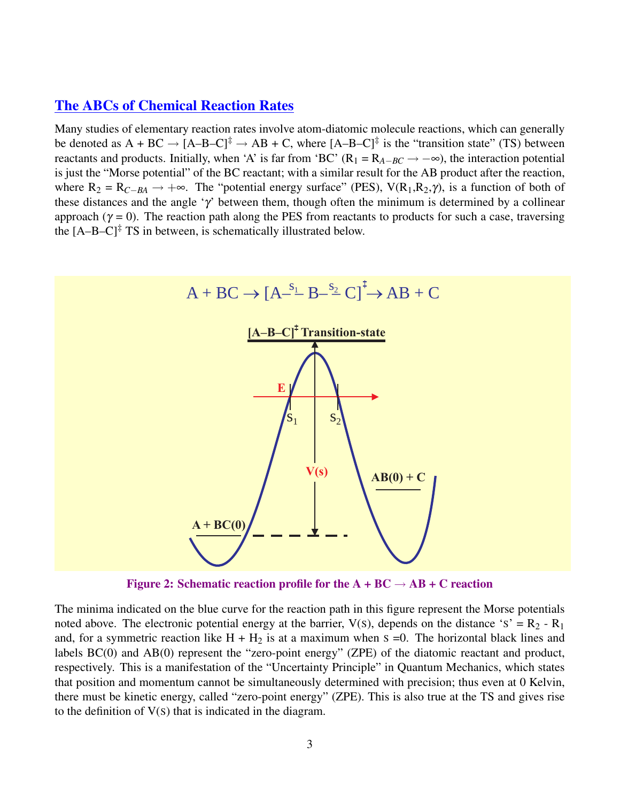#### The ABCs of Chemical Reaction Rates

Many studies of elementary reaction rates involve atom-diatomic molecule reactions, which can generally be denoted as  $A + BC \rightarrow [A-B-C]^{\ddagger} \rightarrow AB + C$ , where  $[A-B-C]^{\ddagger}$  is the "transition state" (TS) between reactants and products. Initially, when 'A' is far from 'BC' (R<sub>1</sub> = R<sub>A−*BC*  $\rightarrow$  -∞), the interaction potential</sub> is just the "Morse potential" of the BC reactant; with a similar result for the AB product after the reaction, where  $R_2 = R_{C-BA} \rightarrow +\infty$ . The "potential energy surface" (PES), V(R<sub>1</sub>,R<sub>2</sub>,γ), is a function of both of these distances and the angle ' $\gamma$ ' between them, though often the minimum is determined by a collinear approach ( $\gamma = 0$ ). The reaction path along the PES from reactants to products for such a case, traversing the  $[A-B-C]^{\ddagger}$  TS in between, is schematically illustrated below.



Figure 2: Schematic reaction profile for the  $A + BC \rightarrow AB + C$  reaction

The minima indicated on the blue curve for the reaction path in this figure represent the Morse potentials noted above. The electronic potential energy at the barrier,  $V(s)$ , depends on the distance 's' = R<sub>2</sub> - R<sub>1</sub> and, for a symmetric reaction like  $H + H_2$  is at a maximum when  $S = 0$ . The horizontal black lines and labels BC(0) and AB(0) represent the "zero-point energy" (ZPE) of the diatomic reactant and product, respectively. This is a manifestation of the "Uncertainty Principle" in Quantum Mechanics, which states that position and momentum cannot be simultaneously determined with precision; thus even at 0 Kelvin, there must be kinetic energy, called "zero-point energy" (ZPE). This is also true at the TS and gives rise to the definition of V(S) that is indicated in the diagram.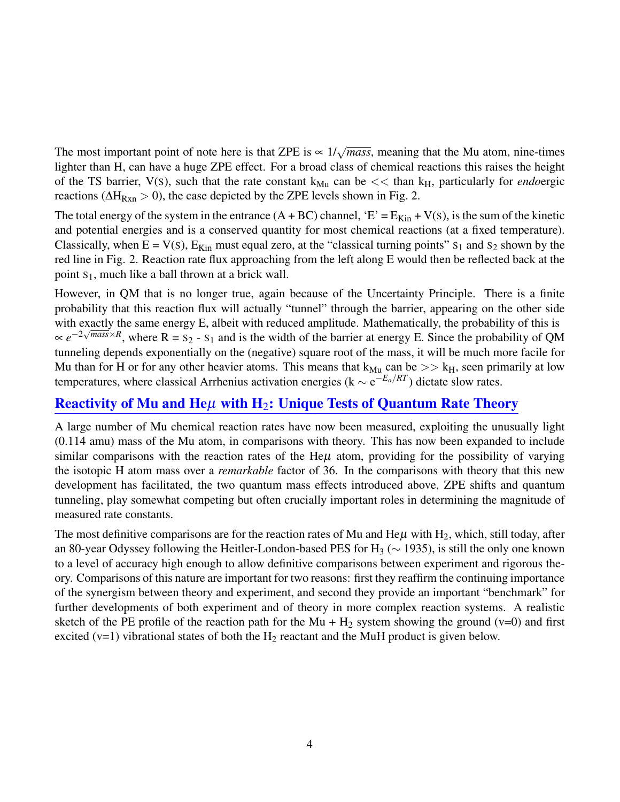The most important point of note here is that ZPE is  $\sim 1/\sqrt{mass}$ , meaning that the Mu atom, nine-times lighter than H, can have a huge ZPE effect. For a broad class of chemical reactions this raises the height of the TS barrier,  $V(s)$ , such that the rate constant  $k_{Mu}$  can be  $<<$  than  $k_H$ , particularly for *endoergic* reactions ( $\Delta H_{Rxn} > 0$ ), the case depicted by the ZPE levels shown in Fig. 2.

The total energy of the system in the entrance  $(A + BC)$  channel, 'E' =  $E_{Kin} + V(s)$ , is the sum of the kinetic and potential energies and is a conserved quantity for most chemical reactions (at a fixed temperature). Classically, when  $E = V(s)$ ,  $E_{Kin}$  must equal zero, at the "classical turning points"  $s_1$  and  $s_2$  shown by the red line in Fig. 2. Reaction rate flux approaching from the left along E would then be reflected back at the point  $S_1$ , much like a ball thrown at a brick wall.

However, in QM that is no longer true, again because of the Uncertainty Principle. There is a finite probability that this reaction flux will actually "tunnel" through the barrier, appearing on the other side with exactly the same energy E, albeit with reduced amplitude. Mathematically, the probability of this is  $\propto e^{-2\sqrt{mass} \times R}$ , where R = S<sub>2</sub> - S<sub>1</sub> and is the width of the barrier at energy E. Since the probability of QM tunneling depends exponentially on the (negative) square root of the mass, it will be much more facile for Mu than for H or for any other heavier atoms. This means that  $k_{Mu}$  can be  $\gg k_H$ , seen primarily at low temperatures, where classical Arrhenius activation energies ( $k \sim e^{-E_a/RT}$ ) dictate slow rates.

### Reactivity of Mu and He $\mu$  with H<sub>2</sub>: Unique Tests of Quantum Rate Theory

A large number of Mu chemical reaction rates have now been measured, exploiting the unusually light (0.114 amu) mass of the Mu atom, in comparisons with theory. This has now been expanded to include similar comparisons with the reaction rates of the He $\mu$  atom, providing for the possibility of varying the isotopic H atom mass over a *remarkable* factor of 36. In the comparisons with theory that this new development has facilitated, the two quantum mass effects introduced above, ZPE shifts and quantum tunneling, play somewhat competing but often crucially important roles in determining the magnitude of measured rate constants.

The most definitive comparisons are for the reaction rates of Mu and He $\mu$  with H<sub>2</sub>, which, still today, after an 80-year Odyssey following the Heitler-London-based PES for H<sub>3</sub> ( $\sim$  1935), is still the only one known to a level of accuracy high enough to allow definitive comparisons between experiment and rigorous theory. Comparisons of this nature are important for two reasons: first they reaffirm the continuing importance of the synergism between theory and experiment, and second they provide an important "benchmark" for further developments of both experiment and of theory in more complex reaction systems. A realistic sketch of the PE profile of the reaction path for the Mu +  $H_2$  system showing the ground (v=0) and first excited ( $v=1$ ) vibrational states of both the H<sub>2</sub> reactant and the MuH product is given below.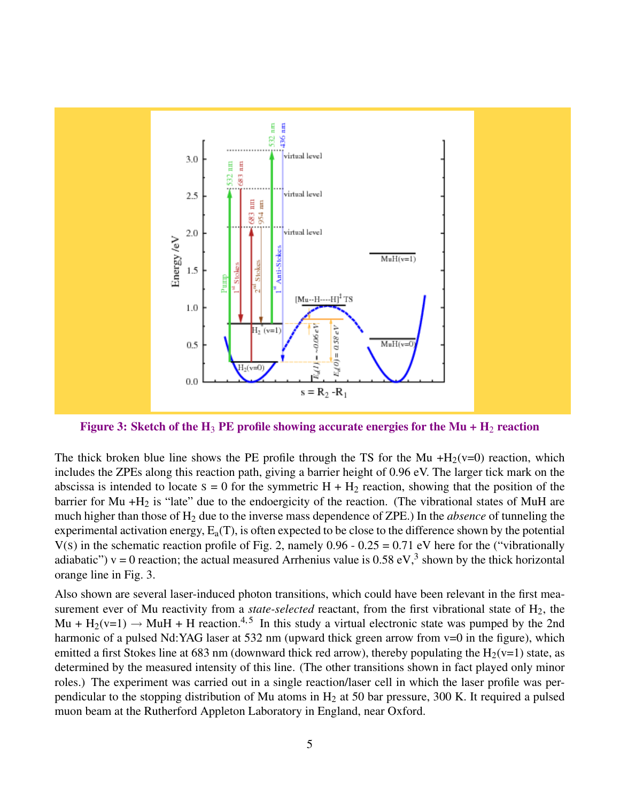

Figure 3: Sketch of the H<sub>3</sub> PE profile showing accurate energies for the Mu + H<sub>2</sub> reaction

The thick broken blue line shows the PE profile through the TS for the Mu  $+H_2(v=0)$  reaction, which includes the ZPEs along this reaction path, giving a barrier height of 0.96 eV. The larger tick mark on the abscissa is intended to locate  $s = 0$  for the symmetric  $H + H_2$  reaction, showing that the position of the barrier for Mu  $+H_2$  is "late" due to the endoergicity of the reaction. (The vibrational states of MuH are much higher than those of H<sup>2</sup> due to the inverse mass dependence of ZPE.) In the *absence* of tunneling the experimental activation energy,  $E_a(T)$ , is often expected to be close to the difference shown by the potential  $V(s)$  in the schematic reaction profile of Fig. 2, namely 0.96 - 0.25 = 0.71 eV here for the ("vibrationally adiabatic")  $v = 0$  reaction; the actual measured Arrhenius value is 0.58 eV,<sup>3</sup> shown by the thick horizontal orange line in Fig. 3.

Also shown are several laser-induced photon transitions, which could have been relevant in the first measurement ever of Mu reactivity from a *state-selected* reactant, from the first vibrational state of H<sub>2</sub>, the Mu + H<sub>2</sub>(v=1)  $\rightarrow$  MuH + H reaction.<sup>4,5</sup> In this study a virtual electronic state was pumped by the 2nd harmonic of a pulsed Nd:YAG laser at 532 nm (upward thick green arrow from  $v=0$  in the figure), which emitted a first Stokes line at 683 nm (downward thick red arrow), thereby populating the  $H_2(v=1)$  state, as determined by the measured intensity of this line. (The other transitions shown in fact played only minor roles.) The experiment was carried out in a single reaction/laser cell in which the laser profile was perpendicular to the stopping distribution of Mu atoms in  $H_2$  at 50 bar pressure, 300 K. It required a pulsed muon beam at the Rutherford Appleton Laboratory in England, near Oxford.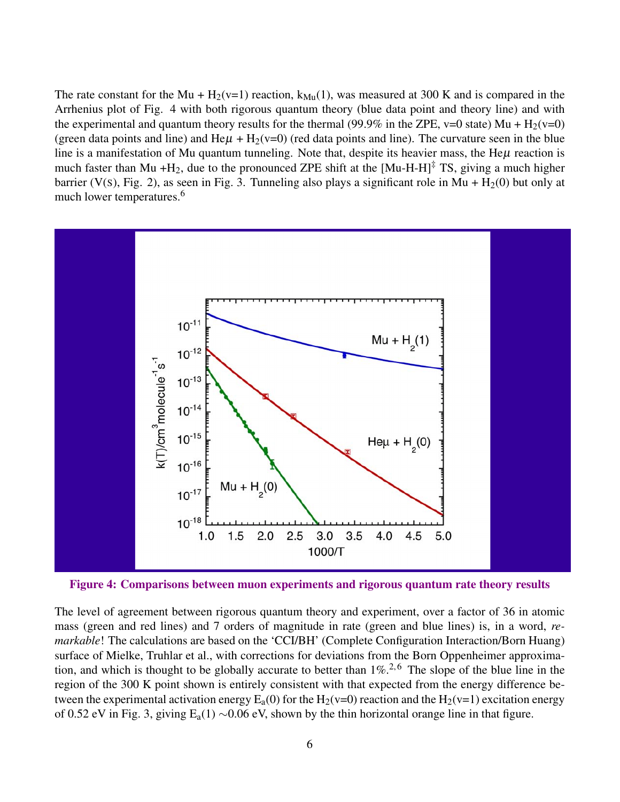The rate constant for the Mu + H<sub>2</sub>(v=1) reaction,  $k_{\text{Mu}}(1)$ , was measured at 300 K and is compared in the Arrhenius plot of Fig. 4 with both rigorous quantum theory (blue data point and theory line) and with the experimental and quantum theory results for the thermal (99.9% in the ZPE, v=0 state) Mu +  $H_2(v=0)$ (green data points and line) and He $\mu$  + H<sub>2</sub>(v=0) (red data points and line). The curvature seen in the blue line is a manifestation of Mu quantum tunneling. Note that, despite its heavier mass, the He $\mu$  reaction is much faster than Mu +H<sub>2</sub>, due to the pronounced ZPE shift at the  $[Mu-H-H]^{\ddagger}$  TS, giving a much higher barrier (V(s), Fig. 2), as seen in Fig. 3. Tunneling also plays a significant role in Mu +  $H_2(0)$  but only at much lower temperatures.<sup>6</sup>



Figure 4: Comparisons between muon experiments and rigorous quantum rate theory results

The level of agreement between rigorous quantum theory and experiment, over a factor of 36 in atomic mass (green and red lines) and 7 orders of magnitude in rate (green and blue lines) is, in a word, *remarkable*! The calculations are based on the 'CCI/BH' (Complete Configuration Interaction/Born Huang) surface of Mielke, Truhlar et al., with corrections for deviations from the Born Oppenheimer approximation, and which is thought to be globally accurate to better than  $1\%$ <sup>2,6</sup> The slope of the blue line in the region of the 300 K point shown is entirely consistent with that expected from the energy difference between the experimental activation energy  $E_a(0)$  for the H<sub>2</sub>(v=0) reaction and the H<sub>2</sub>(v=1) excitation energy of 0.52 eV in Fig. 3, giving Ea(1) ∼0.06 eV, shown by the thin horizontal orange line in that figure.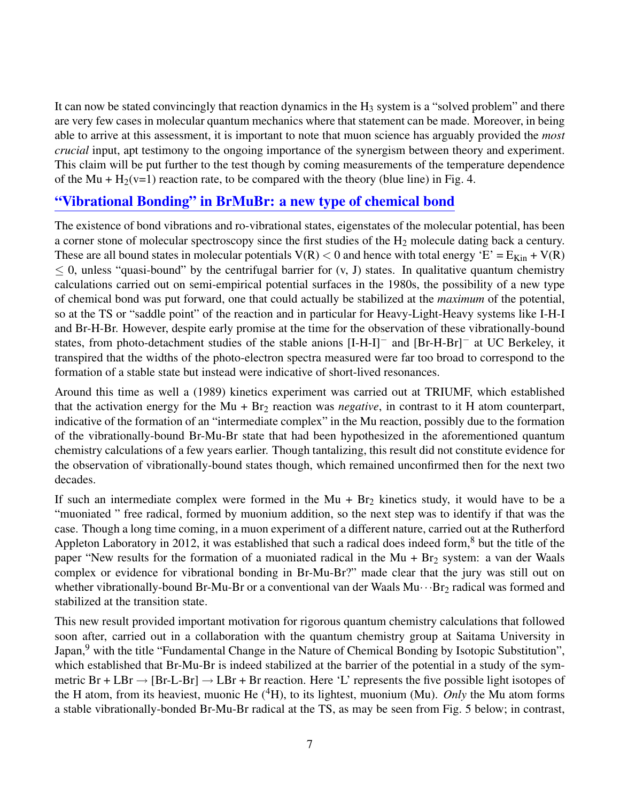It can now be stated convincingly that reaction dynamics in the  $H_3$  system is a "solved problem" and there are very few cases in molecular quantum mechanics where that statement can be made. Moreover, in being able to arrive at this assessment, it is important to note that muon science has arguably provided the *most crucial* input, apt testimony to the ongoing importance of the synergism between theory and experiment. This claim will be put further to the test though by coming measurements of the temperature dependence of the Mu +  $H_2(v=1)$  reaction rate, to be compared with the theory (blue line) in Fig. 4.

#### "Vibrational Bonding" in BrMuBr: a new type of chemical bond

The existence of bond vibrations and ro-vibrational states, eigenstates of the molecular potential, has been a corner stone of molecular spectroscopy since the first studies of the H<sub>2</sub> molecule dating back a century. These are all bound states in molecular potentials  $V(R) < 0$  and hence with total energy 'E' =  $E_{Kin} + V(R)$  $\leq$  0, unless "quasi-bound" by the centrifugal barrier for  $(v, J)$  states. In qualitative quantum chemistry calculations carried out on semi-empirical potential surfaces in the 1980s, the possibility of a new type of chemical bond was put forward, one that could actually be stabilized at the *maximum* of the potential, so at the TS or "saddle point" of the reaction and in particular for Heavy-Light-Heavy systems like I-H-I and Br-H-Br. However, despite early promise at the time for the observation of these vibrationally-bound states, from photo-detachment studies of the stable anions [I-H-I]<sup>−</sup> and [Br-H-Br]<sup>−</sup> at UC Berkeley, it transpired that the widths of the photo-electron spectra measured were far too broad to correspond to the formation of a stable state but instead were indicative of short-lived resonances.

Around this time as well a (1989) kinetics experiment was carried out at TRIUMF, which established that the activation energy for the Mu + Br<sub>2</sub> reaction was *negative*, in contrast to it H atom counterpart, indicative of the formation of an "intermediate complex" in the Mu reaction, possibly due to the formation of the vibrationally-bound Br-Mu-Br state that had been hypothesized in the aforementioned quantum chemistry calculations of a few years earlier. Though tantalizing, this result did not constitute evidence for the observation of vibrationally-bound states though, which remained unconfirmed then for the next two decades.

If such an intermediate complex were formed in the  $Mu + Br_2$  kinetics study, it would have to be a "muoniated " free radical, formed by muonium addition, so the next step was to identify if that was the case. Though a long time coming, in a muon experiment of a different nature, carried out at the Rutherford Appleton Laboratory in 2012, it was established that such a radical does indeed form, $8$  but the title of the paper "New results for the formation of a muoniated radical in the Mu + Br<sub>2</sub> system: a van der Waals complex or evidence for vibrational bonding in Br-Mu-Br?" made clear that the jury was still out on whether vibrationally-bound Br-Mu-Br or a conventional van der Waals  $Mu \cdots Br_2$  radical was formed and stabilized at the transition state.

This new result provided important motivation for rigorous quantum chemistry calculations that followed soon after, carried out in a collaboration with the quantum chemistry group at Saitama University in Japan,<sup>9</sup> with the title "Fundamental Change in the Nature of Chemical Bonding by Isotopic Substitution", which established that Br-Mu-Br is indeed stabilized at the barrier of the potential in a study of the symmetric Br + LBr  $\rightarrow$  [Br-L-Br]  $\rightarrow$  LBr + Br reaction. Here 'L' represents the five possible light isotopes of the H atom, from its heaviest, muonic He  $({}^{4}H)$ , to its lightest, muonium (Mu). *Only* the Mu atom forms a stable vibrationally-bonded Br-Mu-Br radical at the TS, as may be seen from Fig. 5 below; in contrast,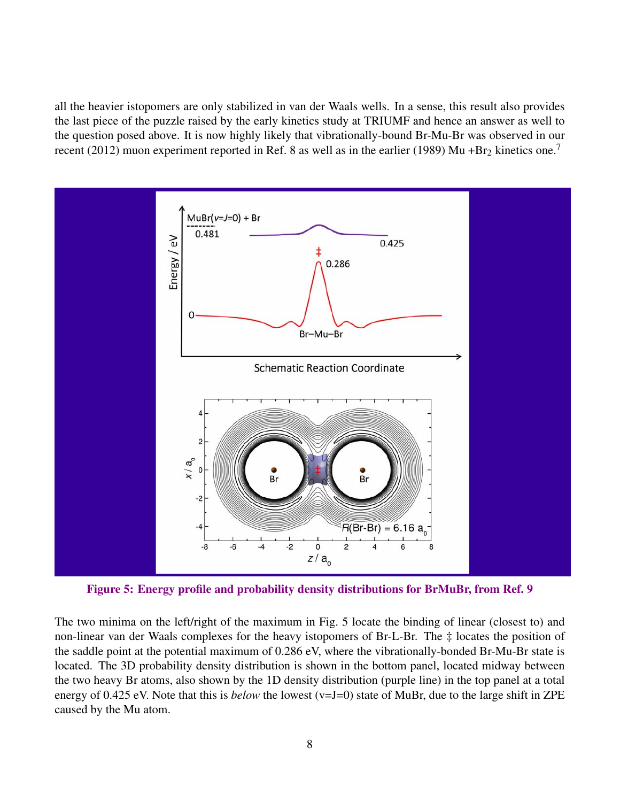all the heavier istopomers are only stabilized in van der Waals wells. In a sense, this result also provides the last piece of the puzzle raised by the early kinetics study at TRIUMF and hence an answer as well to the question posed above. It is now highly likely that vibrationally-bound Br-Mu-Br was observed in our recent (2012) muon experiment reported in Ref. 8 as well as in the earlier (1989) Mu +Br<sub>2</sub> kinetics one.<sup>7</sup>



Figure 5: Energy profile and probability density distributions for BrMuBr, from Ref. 9

The two minima on the left/right of the maximum in Fig. 5 locate the binding of linear (closest to) and non-linear van der Waals complexes for the heavy istopomers of Br-L-Br. The ‡ locates the position of the saddle point at the potential maximum of 0.286 eV, where the vibrationally-bonded Br-Mu-Br state is located. The 3D probability density distribution is shown in the bottom panel, located midway between the two heavy Br atoms, also shown by the 1D density distribution (purple line) in the top panel at a total energy of 0.425 eV. Note that this is *below* the lowest (v=J=0) state of MuBr, due to the large shift in ZPE caused by the Mu atom.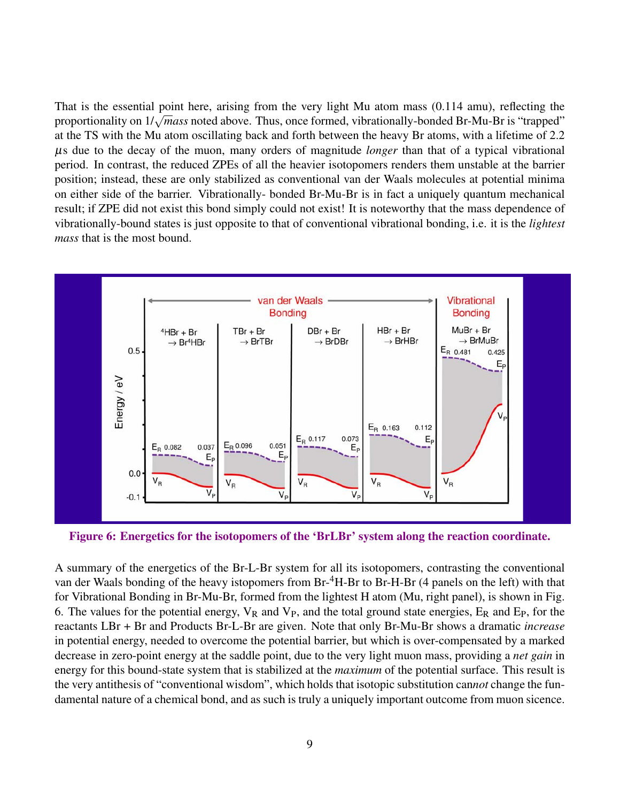That is the essential point here, arising from the very light Mu atom mass (0.114 amu), reflecting the proportionality on 1/<sup>√</sup> *mass* noted above. Thus, once formed, vibrationally-bonded Br-Mu-Br is "trapped" at the TS with the Mu atom oscillating back and forth between the heavy Br atoms, with a lifetime of 2.2 µs due to the decay of the muon, many orders of magnitude *longer* than that of a typical vibrational period. In contrast, the reduced ZPEs of all the heavier isotopomers renders them unstable at the barrier position; instead, these are only stabilized as conventional van der Waals molecules at potential minima on either side of the barrier. Vibrationally- bonded Br-Mu-Br is in fact a uniquely quantum mechanical result; if ZPE did not exist this bond simply could not exist! It is noteworthy that the mass dependence of vibrationally-bound states is just opposite to that of conventional vibrational bonding, i.e. it is the *lightest mass* that is the most bound.



Figure 6: Energetics for the isotopomers of the 'BrLBr' system along the reaction coordinate.

A summary of the energetics of the Br-L-Br system for all its isotopomers, contrasting the conventional van der Waals bonding of the heavy istopomers from Br-<sup>4</sup>H-Br to Br-H-Br (4 panels on the left) with that for Vibrational Bonding in Br-Mu-Br, formed from the lightest H atom (Mu, right panel), is shown in Fig. 6. The values for the potential energy,  $V_R$  and  $V_P$ , and the total ground state energies,  $E_R$  and  $E_P$ , for the reactants LBr + Br and Products Br-L-Br are given. Note that only Br-Mu-Br shows a dramatic *increase* in potential energy, needed to overcome the potential barrier, but which is over-compensated by a marked decrease in zero-point energy at the saddle point, due to the very light muon mass, providing a *net gain* in energy for this bound-state system that is stabilized at the *maximum* of the potential surface. This result is the very antithesis of "conventional wisdom", which holds that isotopic substitution can*not* change the fundamental nature of a chemical bond, and as such is truly a uniquely important outcome from muon sicence.